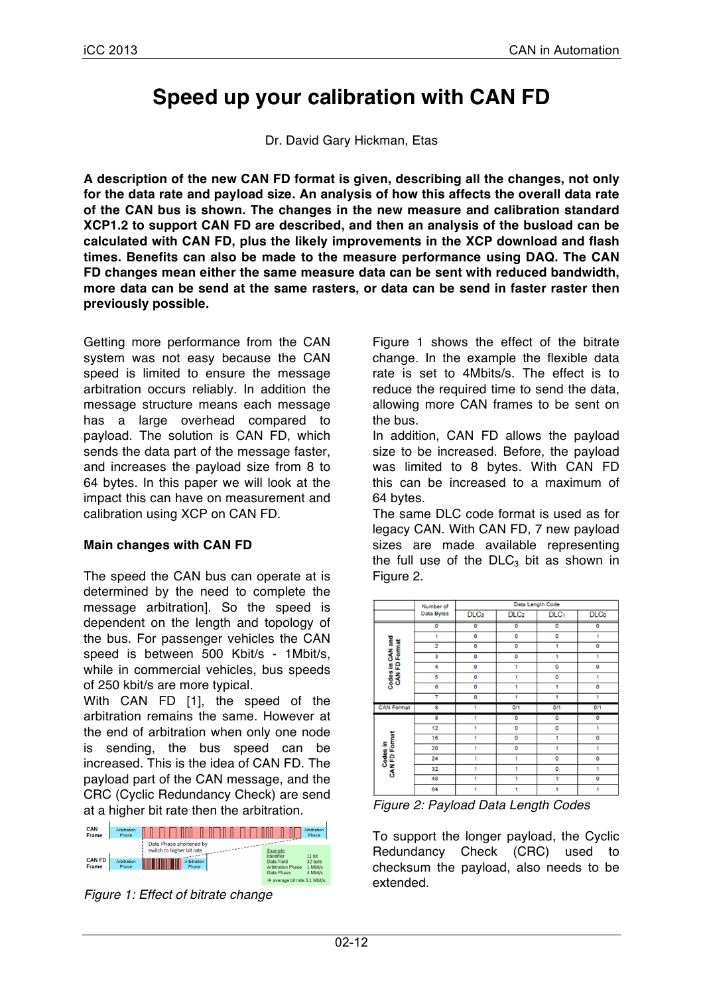# **Speed up your calibration with CAN FD**

Dr. David Gary Hickman, Etas

**A description of the new CAN FD format is given, describing all the changes, not only for the data rate and payload size. An analysis of how this affects the overall data rate of the CAN bus is shown. The changes in the new measure and calibration standard XCP1.2 to support CAN FD are described, and then an analysis of the busload can be calculated with CAN FD, plus the likely improvements in the XCP download and flash times. Benefits can also be made to the measure performance using DAQ. The CAN FD changes mean either the same measure data can be sent with reduced bandwidth, more data can be send at the same rasters, or data can be send in faster raster then previously possible.**

Getting more performance from the CAN system was not easy because the CAN speed is limited to ensure the message arbitration occurs reliably. In addition the message structure means each message has a large overhead compared to payload. The solution is CAN FD, which sends the data part of the message faster, and increases the payload size from 8 to 64 bytes. In this paper we will look at the impact this can have on measurement and calibration using XCP on CAN FD.

### **Main changes with CAN FD**

The speed the CAN bus can operate at is determined by the need to complete the message arbitration]. So the speed is dependent on the length and topology of the bus. For passenger vehicles the CAN speed is between 500 Kbit/s - 1Mbit/s, while in commercial vehicles, bus speeds of 250 kbit/s are more typical.

With CAN FD [1], the speed of the arbitration remains the same. However at the end of arbitration when only one node is sending, the bus speed can be increased. This is the idea of CAN FD. The payload part of the CAN message, and the CRC (Cyclic Redundancy Check) are send at a higher bit rate then the arbitration.

| CAN<br>Frame           | Arbitration<br>Phase |                                                      | <b>Arbitration</b><br>Phase                                                             |
|------------------------|----------------------|------------------------------------------------------|-----------------------------------------------------------------------------------------|
|                        |                      | Data Phase shortened by<br>switch to higher bit rate | Example<br>11 bit<br>Identifier                                                         |
| <b>CAN FD</b><br>Frame | Arbitration<br>Phase | <b>Arbitration</b><br>Phase                          | 32 byte<br>Data Field<br><b>Arbitration Phase</b><br>1 Mbit/s<br>4 Mbit/s<br>Data Phase |
|                        |                      |                                                      | $\rightarrow$ average hit rate 3.1 Mhit/s                                               |

*Figure 1: Effect of bitrate change*

Figure 1 shows the effect of the bitrate change. In the example the flexible data rate is set to 4Mbits/s. The effect is to reduce the required time to send the data, allowing more CAN frames to be sent on the bus.

In addition, CAN FD allows the payload size to be increased. Before, the payload was limited to 8 bytes. With CAN FD this can be increased to a maximum of 64 bytes.

The same DLC code format is used as for legacy CAN. With CAN FD, 7 new payload sizes are made available representing the full use of the  $DLC<sub>3</sub>$  bit as shown in Figure 2.



*Figure 2: Payload Data Length Codes*

To support the longer payload, the Cyclic Redundancy Check (CRC) used to checksum the payload, also needs to be extended.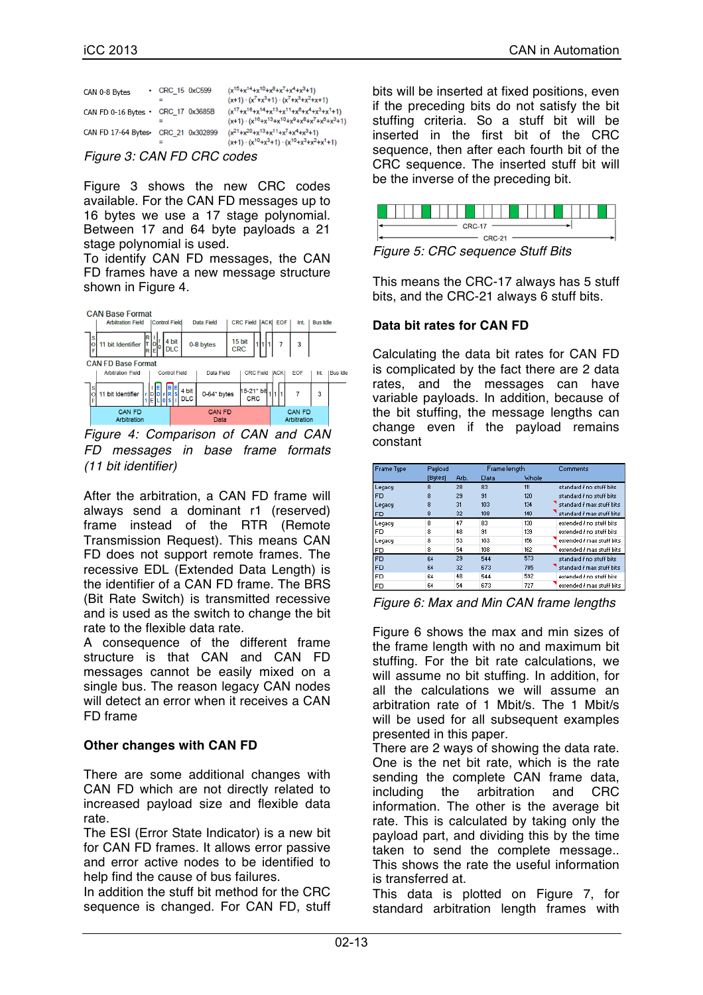| CAN 0-8 Bytes       | $\cdot$ CRC_15 0xC599 | $(x^{15}+x^{14}+x^{10}+x^8+x^7+x^4+x^3+1)$<br>$(x+1) \cdot (x^7 + x^3 + 1) \cdot (x^7 + x^3 + x^2 + x + 1)$                |
|---------------------|-----------------------|----------------------------------------------------------------------------------------------------------------------------|
| CAN FD 0-16 Bytes   | CRC 17 0x3685B        | $(x^{17}+x^{16}+x^{14}+x^{13}+x^{11}+x^{6}+x^{4}+x^{3}+x^{1}+1)$<br>$(x+1)$ $(x^{16}+x^{13}+x^{10}+x^9+x^8+x^7+x^8+x^3+1)$ |
| CAN FD 17-64 Bytes. | CRC 21 0x302899       | $(x^{21}+x^{20}+x^{13}+x^{11}+x^7+x^4+x^3+1)$<br>$(x+1) \cdot (x^{10}+x^3+1) \cdot (x^{10}+x^3+x^2+x^1+1)$                 |

*Figure 3: CAN FD CRC codes*

Figure 3 shows the new CRC codes available. For the CAN FD messages up to 16 bytes we use a 17 stage polynomial. Between 17 and 64 byte payloads a 21 stage polynomial is used.

To identify CAN FD messages, the CAN FD frames have a new message structure shown in Figure 4.



*Figure 4: Comparison of CAN and CAN FD messages in base frame formats (11 bit identifier)*

After the arbitration, a CAN FD frame will always send a dominant r1 (reserved) frame instead of the RTR (Remote Transmission Request). This means CAN FD does not support remote frames. The recessive EDL (Extended Data Length) is the identifier of a CAN FD frame. The BRS (Bit Rate Switch) is transmitted recessive and is used as the switch to change the bit rate to the flexible data rate.

A consequence of the different frame structure is that CAN and CAN FD messages cannot be easily mixed on a single bus. The reason legacy CAN nodes will detect an error when it receives a CAN FD frame

#### **Other changes with CAN FD**

There are some additional changes with CAN FD which are not directly related to increased payload size and flexible data rate.

The ESI (Error State Indicator) is a new bit for CAN FD frames. It allows error passive and error active nodes to be identified to help find the cause of bus failures.

In addition the stuff bit method for the CRC sequence is changed. For CAN FD, stuff bits will be inserted at fixed positions, even if the preceding bits do not satisfy the bit stuffing criteria. So a stuff bit will be inserted in the first bit of the CRC sequence, then after each fourth bit of the CRC sequence. The inserted stuff bit will be the inverse of the preceding bit.



*Figure 5: CRC sequence Stuff Bits*

This means the CRC-17 always has 5 stuff bits, and the CRC-21 always 6 stuff bits.

#### **Data bit rates for CAN FD**

Calculating the data bit rates for CAN FD is complicated by the fact there are 2 data rates, and the messages can have variable payloads. In addition, because of the bit stuffing, the message lengths can change even if the payload remains constant

| <b>Frame Type</b> | Pauload |      | Frame length |       | Comments                  |
|-------------------|---------|------|--------------|-------|---------------------------|
|                   | [Butes] | Arb. | Data         | Whole |                           |
| Legacy            | 8       | 28   | 83           | 111   | standard / no stuff bits  |
| FD                | 8       | 29   | 91           | 120   | standard / no stuff bits  |
| Legacy            | 8       | 31   | 103          | 134   | standard / max stuff bits |
| FD                | 8       | 32   | 108          | 140   | standard / max stuff bits |
| Legacy            | 8       | 47   | 83           | 130   | extended / no stuff bits  |
| FD                | 8       | 48   | 91           | 139   | extended / no stuff bits  |
| Legacy            | 8       | 53   | 103          | 156   | extended / max stuff bits |
| FD                | 8       | 54   | 108          | 162   | extended / max stuff bits |
| <b>FD</b>         | 64      | 29   | 544          | 573   | standard / no stuff bits  |
| FD                | 64      | 32   | 673          | 705   | standard / max stuff bits |
| <b>FD</b>         | 64      | 48   | 544          | 592   | extended / no stuff bits  |
| FD                | 64      | 54   | 673          | 727   | extended / max stuff bits |

*Figure 6: Max and Min CAN frame lengths*

Figure 6 shows the max and min sizes of the frame length with no and maximum bit stuffing. For the bit rate calculations, we will assume no bit stuffing. In addition, for all the calculations we will assume an arbitration rate of 1 Mbit/s. The 1 Mbit/s will be used for all subsequent examples presented in this paper.

There are 2 ways of showing the data rate. One is the net bit rate, which is the rate sending the complete CAN frame data, including the arbitration and CRC information. The other is the average bit rate. This is calculated by taking only the payload part, and dividing this by the time taken to send the complete message.. This shows the rate the useful information is transferred at.

This data is plotted on Figure 7, for standard arbitration length frames with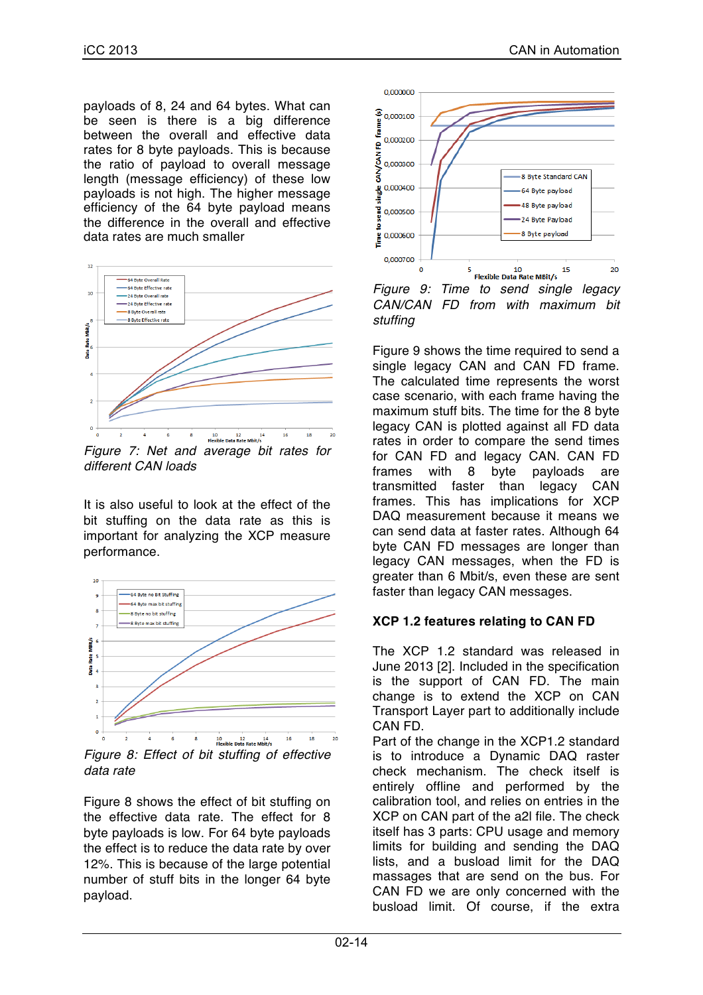payloads of 8, 24 and 64 bytes. What can be seen is there is a big difference between the overall and effective data rates for 8 byte payloads. This is because the ratio of payload to overall message length (message efficiency) of these low payloads is not high. The higher message efficiency of the 64 byte payload means the difference in the overall and effective data rates are much smaller



*different CAN loads*

It is also useful to look at the effect of the bit stuffing on the data rate as this is important for analyzing the XCP measure performance.



*Figure 8: Effect of bit stuffing of effective data rate*

Figure 8 shows the effect of bit stuffing on the effective data rate. The effect for 8 byte payloads is low. For 64 byte payloads the effect is to reduce the data rate by over 12%. This is because of the large potential number of stuff bits in the longer 64 byte payload.



*Figure 9: Time to send single legacy CAN/CAN FD from with maximum bit stuffing*

Figure 9 shows the time required to send a single legacy CAN and CAN FD frame. The calculated time represents the worst case scenario, with each frame having the maximum stuff bits. The time for the 8 byte legacy CAN is plotted against all FD data rates in order to compare the send times for CAN FD and legacy CAN. CAN FD frames with 8 byte payloads are<br>transmitted faster than legacy CAN transmitted faster than legacy frames. This has implications for XCP DAQ measurement because it means we can send data at faster rates. Although 64 byte CAN FD messages are longer than legacy CAN messages, when the FD is greater than 6 Mbit/s, even these are sent faster than legacy CAN messages.

# **XCP 1.2 features relating to CAN FD**

The XCP 1.2 standard was released in June 2013 [2]. Included in the specification is the support of CAN FD. The main change is to extend the XCP on CAN Transport Layer part to additionally include CAN FD.

Part of the change in the XCP1.2 standard is to introduce a Dynamic DAQ raster check mechanism. The check itself is entirely offline and performed by the calibration tool, and relies on entries in the XCP on CAN part of the a2l file. The check itself has 3 parts: CPU usage and memory limits for building and sending the DAQ lists, and a busload limit for the DAQ massages that are send on the bus. For CAN FD we are only concerned with the busload limit. Of course, if the extra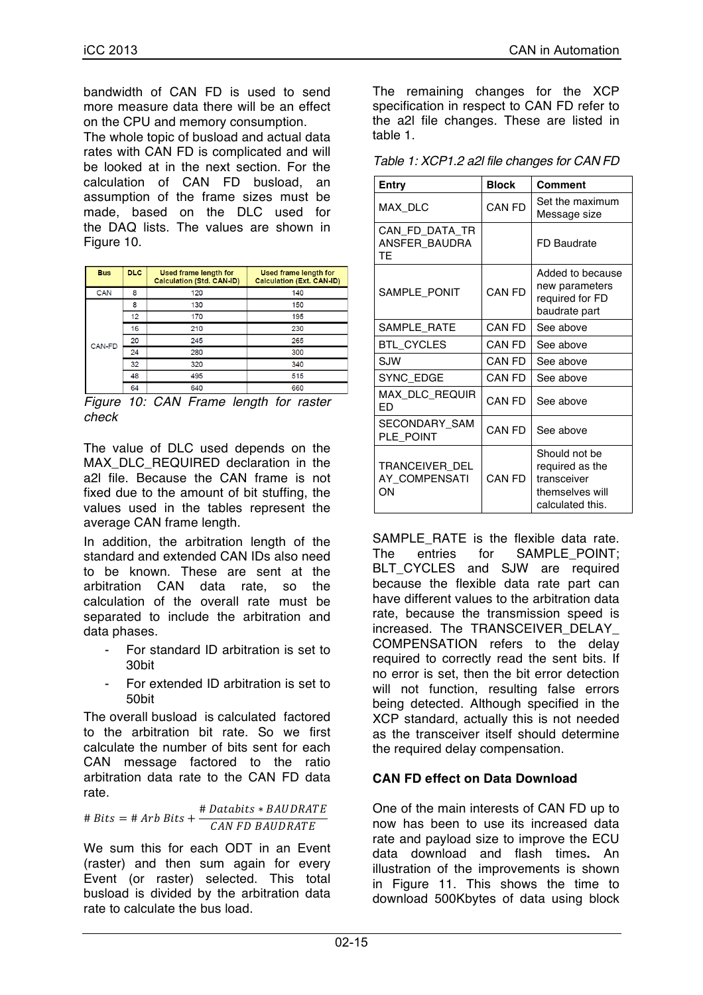bandwidth of CAN FD is used to send more measure data there will be an effect on the CPU and memory consumption.

The whole topic of busload and actual data rates with CAN FD is complicated and will be looked at in the next section. For the calculation of CAN FD busload, an assumption of the frame sizes must be made, based on the DLC used for the DAQ lists. The values are shown in Figure 10.

| <b>DLC</b> | <b>Used frame length for</b><br><b>Calculation (Std. CAN-ID)</b> | Used frame length for<br><b>Calculation (Ext. CAN-ID)</b> |
|------------|------------------------------------------------------------------|-----------------------------------------------------------|
| 8          | 120                                                              | 140                                                       |
| 8          | 130                                                              | 150                                                       |
| 12         | 170                                                              | 195                                                       |
| 16         | 210                                                              | 230                                                       |
| 20         | 245                                                              | 265                                                       |
| 24         | 280                                                              | 300                                                       |
| 32         | 320                                                              | 340                                                       |
| 48         | 495                                                              | 515                                                       |
| 64         | 640                                                              | 660                                                       |
|            |                                                                  |                                                           |

*Figure 10: CAN Frame length for raster check*

The value of DLC used depends on the MAX DLC REQUIRED declaration in the a2l file. Because the CAN frame is not fixed due to the amount of bit stuffing, the values used in the tables represent the average CAN frame length.

In addition, the arbitration length of the standard and extended CAN IDs also need to be known. These are sent at the arbitration CAN data rate, so the calculation of the overall rate must be separated to include the arbitration and data phases.

- For standard ID arbitration is set to 30bit
- For extended ID arbitration is set to 50bit

The overall busload is calculated factored to the arbitration bit rate. So we first calculate the number of bits sent for each CAN message factored to the ratio arbitration data rate to the CAN FD data rate.

$$
\# \text{ Bits} = \# \text{ Arb } \text{Bits} + \frac{\# \text{ Databases} * \text{BAUDRATE}}{\text{CAN } FD \text{ BAUDRATE}}
$$

We sum this for each ODT in an Event (raster) and then sum again for every Event (or raster) selected. This total busload is divided by the arbitration data rate to calculate the bus load.

The remaining changes for the XCP specification in respect to CAN FD refer to the a2l file changes. These are listed in table 1.

| Table 1: XCP1.2 a2l file changes for CAN FD |  |
|---------------------------------------------|--|
|---------------------------------------------|--|

| Entry                                 | <b>Block</b>  | Comment                                                                                |
|---------------------------------------|---------------|----------------------------------------------------------------------------------------|
| MAX DLC                               | CAN FD        | Set the maximum<br>Message size                                                        |
| CAN FD DATA TR<br>ANSFER BAUDRA<br>TF |               | FD Baudrate                                                                            |
| SAMPLE PONIT                          | <b>CAN FD</b> | Added to because<br>new parameters<br>required for FD<br>baudrate part                 |
| SAMPLE RATE                           | <b>CAN FD</b> | See above                                                                              |
| BTL_CYCLES                            | CAN FD        | See above                                                                              |
| SJW                                   | CAN FD        | See above                                                                              |
| SYNC EDGE                             | CAN FD        | See above                                                                              |
| MAX_DLC_REQUIR<br>FD                  | CAN FD        | See above                                                                              |
| SECONDARY SAM<br>PLE POINT            | CAN FD        | See above                                                                              |
| TRANCEIVER DEL<br>AY COMPENSATI<br>ΟN | CAN FD        | Should not be<br>required as the<br>transceiver<br>themselves will<br>calculated this. |

SAMPLE RATE is the flexible data rate. The entries for SAMPLE\_POINT: BLT CYCLES and SJW are required because the flexible data rate part can have different values to the arbitration data rate, because the transmission speed is increased. The TRANSCEIVER DELAY COMPENSATION refers to the delay required to correctly read the sent bits. If no error is set, then the bit error detection will not function, resulting false errors being detected. Although specified in the XCP standard, actually this is not needed as the transceiver itself should determine the required delay compensation.

### **CAN FD effect on Data Download**

One of the main interests of CAN FD up to now has been to use its increased data rate and payload size to improve the ECU data download and flash times**.** An illustration of the improvements is shown in Figure 11. This shows the time to download 500Kbytes of data using block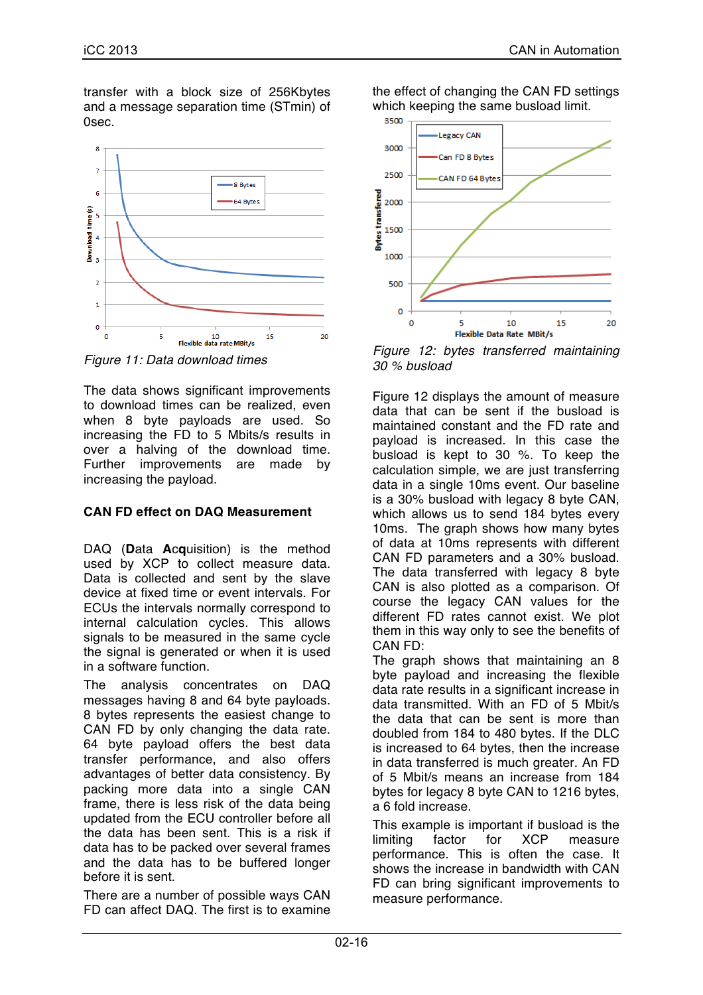transfer with a block size of 256Kbytes and a message separation time (STmin) of 0sec.



*Figure 11: Data download times*

The data shows significant improvements to download times can be realized, even when 8 byte payloads are used. So increasing the FD to 5 Mbits/s results in over a halving of the download time. Further improvements are made by increasing the payload.

# **CAN FD effect on DAQ Measurement**

DAQ (**D**ata **A**c**q**uisition) is the method used by XCP to collect measure data. Data is collected and sent by the slave device at fixed time or event intervals. For ECUs the intervals normally correspond to internal calculation cycles. This allows signals to be measured in the same cycle the signal is generated or when it is used in a software function.

The analysis concentrates on DAQ messages having 8 and 64 byte payloads. 8 bytes represents the easiest change to CAN FD by only changing the data rate. 64 byte payload offers the best data transfer performance, and also offers advantages of better data consistency. By packing more data into a single CAN frame, there is less risk of the data being updated from the ECU controller before all the data has been sent. This is a risk if data has to be packed over several frames and the data has to be buffered longer before it is sent.

There are a number of possible ways CAN FD can affect DAQ. The first is to examine the effect of changing the CAN FD settings which keeping the same busload limit.



*Figure 12: bytes transferred maintaining 30 % busload*

Figure 12 displays the amount of measure data that can be sent if the busload is maintained constant and the FD rate and payload is increased. In this case the busload is kept to 30 %. To keep the calculation simple, we are just transferring data in a single 10ms event. Our baseline is a 30% busload with legacy 8 byte CAN, which allows us to send 184 bytes every 10ms. The graph shows how many bytes of data at 10ms represents with different CAN FD parameters and a 30% busload. The data transferred with legacy 8 byte CAN is also plotted as a comparison. Of course the legacy CAN values for the different FD rates cannot exist. We plot them in this way only to see the benefits of CAN FD:

The graph shows that maintaining an 8 byte payload and increasing the flexible data rate results in a significant increase in data transmitted. With an FD of 5 Mbit/s the data that can be sent is more than doubled from 184 to 480 bytes. If the DLC is increased to 64 bytes, then the increase in data transferred is much greater. An FD of 5 Mbit/s means an increase from 184 bytes for legacy 8 byte CAN to 1216 bytes, a 6 fold increase.

This example is important if busload is the limiting factor for XCP measure performance. This is often the case. It shows the increase in bandwidth with CAN FD can bring significant improvements to measure performance.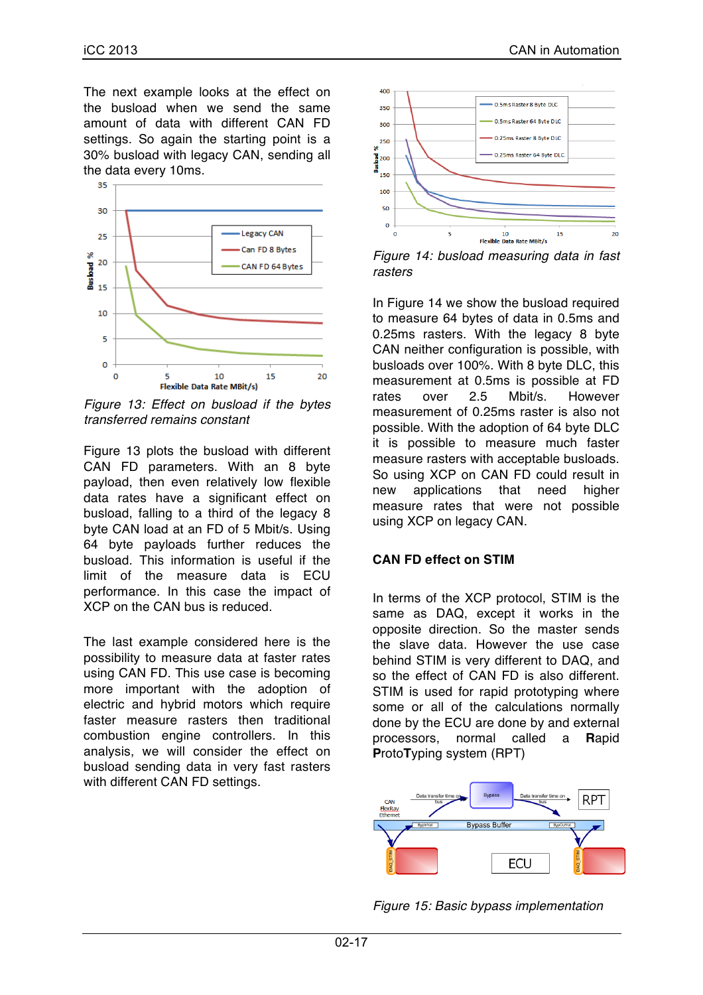The next example looks at the effect on the busload when we send the same amount of data with different CAN FD settings. So again the starting point is a 30% busload with legacy CAN, sending all the data every 10ms.



*Figure 13: Effect on busload if the bytes transferred remains constant*

Figure 13 plots the busload with different CAN FD parameters. With an 8 byte payload, then even relatively low flexible data rates have a significant effect on busload, falling to a third of the legacy 8 byte CAN load at an FD of 5 Mbit/s. Using 64 byte payloads further reduces the busload. This information is useful if the limit of the measure data is ECU performance. In this case the impact of XCP on the CAN bus is reduced.

The last example considered here is the possibility to measure data at faster rates using CAN FD. This use case is becoming more important with the adoption of electric and hybrid motors which require faster measure rasters then traditional combustion engine controllers. In this analysis, we will consider the effect on busload sending data in very fast rasters with different CAN FD settings.



*Figure 14: busload measuring data in fast rasters*

In Figure 14 we show the busload required to measure 64 bytes of data in 0.5ms and 0.25ms rasters. With the legacy 8 byte CAN neither configuration is possible, with busloads over 100%. With 8 byte DLC, this measurement at 0.5ms is possible at FD rates over 2.5 Mbit/s. However measurement of 0.25ms raster is also not possible. With the adoption of 64 byte DLC it is possible to measure much faster measure rasters with acceptable busloads. So using XCP on CAN FD could result in new applications that need higher measure rates that were not possible using XCP on legacy CAN.

### **CAN FD effect on STIM**

In terms of the XCP protocol, STIM is the same as DAQ, except it works in the opposite direction. So the master sends the slave data. However the use case behind STIM is very different to DAQ, and so the effect of CAN FD is also different. STIM is used for rapid prototyping where some or all of the calculations normally done by the ECU are done by and external processors, normal called a **R**apid **P**roto**T**yping system (RPT)



*Figure 15: Basic bypass implementation*